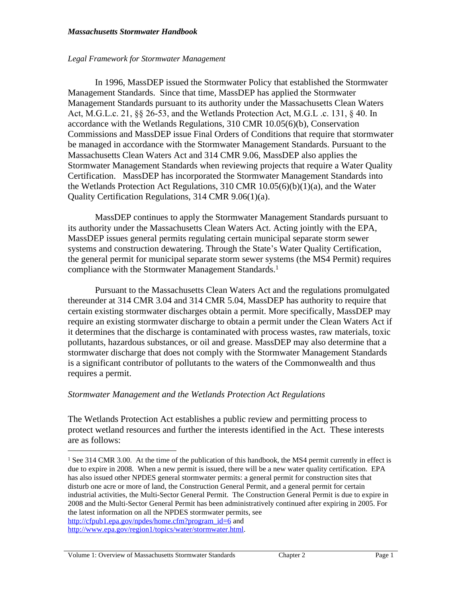### *Legal Framework for Stormwater Management*

In 1996, MassDEP issued the Stormwater Policy that established the Stormwater Management Standards. Since that time, MassDEP has applied the Stormwater Management Standards pursuant to its authority under the Massachusetts Clean Waters Act, M.G.L.c. 21, §§ 26-53, and the Wetlands Protection Act, M.G.L .c. 131, § 40. In accordance with the Wetlands Regulations, 310 CMR 10.05(6)(b), Conservation Commissions and MassDEP issue Final Orders of Conditions that require that stormwater be managed in accordance with the Stormwater Management Standards. Pursuant to the Massachusetts Clean Waters Act and 314 CMR 9.06, MassDEP also applies the Stormwater Management Standards when reviewing projects that require a Water Quality Certification. MassDEP has incorporated the Stormwater Management Standards into the Wetlands Protection Act Regulations, 310 CMR 10.05(6)(b)(1)(a), and the Water Quality Certification Regulations, 314 CMR 9.06(1)(a).

MassDEP continues to apply the Stormwater Management Standards pursuant to its authority under the Massachusetts Clean Waters Act. Acting jointly with the EPA, MassDEP issues general permits regulating certain municipal separate storm sewer systems and construction dewatering. Through the State's Water Quality Certification, the general permit for municipal separate storm sewer systems (the MS4 Permit) requires compliance with the Stormwater Management Standards.<sup>1</sup>

Pursuant to the Massachusetts Clean Waters Act and the regulations promulgated thereunder at 314 CMR 3.04 and 314 CMR 5.04, MassDEP has authority to require that certain existing stormwater discharges obtain a permit. More specifically, MassDEP may require an existing stormwater discharge to obtain a permit under the Clean Waters Act if it determines that the discharge is contaminated with process wastes, raw materials, toxic pollutants, hazardous substances, or oil and grease. MassDEP may also determine that a stormwater discharge that does not comply with the Stormwater Management Standards is a significant contributor of pollutants to the waters of the Commonwealth and thus requires a permit.

## *Stormwater Management and the Wetlands Protection Act Regulations*

The Wetlands Protection Act establishes a public review and permitting process to protect wetland resources and further the interests identified in the Act. These interests are as follows:

<sup>&</sup>lt;sup>1</sup> See 314 CMR 3.00. At the time of the publication of this handbook, the MS4 permit currently in effect is due to expire in 2008. When a new permit is issued, there will be a new water quality certification. EPA has also issued other NPDES general stormwater permits: a general permit for construction sites that disturb one acre or more of land, the Construction General Permit, and a general permit for certain industrial activities, the Multi-Sector General Permit. The Construction General Permit is due to expire in 2008 and the Multi-Sector General Permit has been administratively continued after expiring in 2005. For the latest information on all the NPDES stormwater permits, see [http://cfpub1.epa.gov/npdes/home.cfm?program\\_id=6](http://cfpub1.epa.gov/npdes/home.cfm?program_id=6) and <http://www.epa.gov/region1/topics/water/stormwater.html>.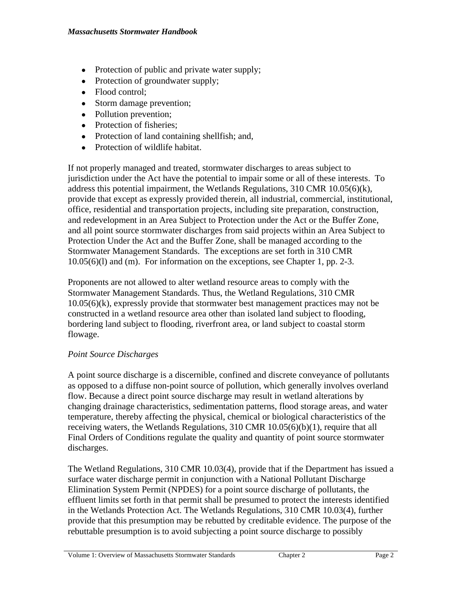- Protection of public and private water supply;
- Protection of groundwater supply;
- Flood control:
- Storm damage prevention;
- Pollution prevention;
- Protection of fisheries;
- Protection of land containing shellfish; and,
- Protection of wildlife habitat.

If not properly managed and treated, stormwater discharges to areas subject to jurisdiction under the Act have the potential to impair some or all of these interests. To address this potential impairment, the Wetlands Regulations,  $310$  CMR  $10.05(6)(k)$ , provide that except as expressly provided therein, all industrial, commercial, institutional, office, residential and transportation projects, including site preparation, construction, and redevelopment in an Area Subject to Protection under the Act or the Buffer Zone, and all point source stormwater discharges from said projects within an Area Subject to Protection Under the Act and the Buffer Zone, shall be managed according to the Stormwater Management Standards. The exceptions are set forth in 310 CMR 10.05(6)(l) and (m). For information on the exceptions, see Chapter 1, pp. 2-3.

Proponents are not allowed to alter wetland resource areas to comply with the Stormwater Management Standards. Thus, the Wetland Regulations, 310 CMR 10.05(6)(k), expressly provide that stormwater best management practices may not be constructed in a wetland resource area other than isolated land subject to flooding, bordering land subject to flooding, riverfront area, or land subject to coastal storm flowage.

## *Point Source Discharges*

A point source discharge is a discernible, confined and discrete conveyance of pollutants as opposed to a diffuse non-point source of pollution, which generally involves overland flow. Because a direct point source discharge may result in wetland alterations by changing drainage characteristics, sedimentation patterns, flood storage areas, and water temperature, thereby affecting the physical, chemical or biological characteristics of the receiving waters, the Wetlands Regulations, 310 CMR 10.05(6)(b)(1), require that all Final Orders of Conditions regulate the quality and quantity of point source stormwater discharges.

The Wetland Regulations, 310 CMR 10.03(4), provide that if the Department has issued a surface water discharge permit in conjunction with a National Pollutant Discharge Elimination System Permit (NPDES) for a point source discharge of pollutants, the effluent limits set forth in that permit shall be presumed to protect the interests identified in the Wetlands Protection Act. The Wetlands Regulations, 310 CMR 10.03(4), further provide that this presumption may be rebutted by creditable evidence. The purpose of the rebuttable presumption is to avoid subjecting a point source discharge to possibly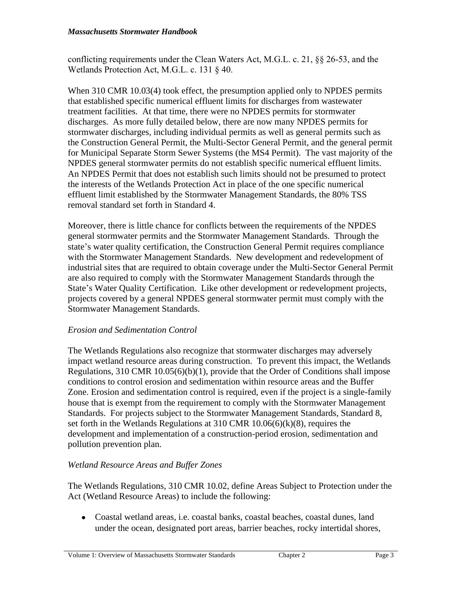conflicting requirements under the Clean Waters Act, M.G.L. c. 21, §§ 26-53, and the Wetlands Protection Act, M.G.L. c. 131 § 40.

When 310 CMR 10.03(4) took effect, the presumption applied only to NPDES permits that established specific numerical effluent limits for discharges from wastewater treatment facilities. At that time, there were no NPDES permits for stormwater discharges. As more fully detailed below, there are now many NPDES permits for stormwater discharges, including individual permits as well as general permits such as the Construction General Permit, the Multi-Sector General Permit, and the general permit for Municipal Separate Storm Sewer Systems (the MS4 Permit). The vast majority of the NPDES general stormwater permits do not establish specific numerical effluent limits. An NPDES Permit that does not establish such limits should not be presumed to protect the interests of the Wetlands Protection Act in place of the one specific numerical effluent limit established by the Stormwater Management Standards, the 80% TSS removal standard set forth in Standard 4.

Moreover, there is little chance for conflicts between the requirements of the NPDES general stormwater permits and the Stormwater Management Standards. Through the state's water quality certification, the Construction General Permit requires compliance with the Stormwater Management Standards. New development and redevelopment of industrial sites that are required to obtain coverage under the Multi-Sector General Permit are also required to comply with the Stormwater Management Standards through the State's Water Quality Certification. Like other development or redevelopment projects, projects covered by a general NPDES general stormwater permit must comply with the Stormwater Management Standards.

## *Erosion and Sedimentation Control*

The Wetlands Regulations also recognize that stormwater discharges may adversely impact wetland resource areas during construction. To prevent this impact, the Wetlands Regulations, 310 CMR 10.05(6)(b)(1), provide that the Order of Conditions shall impose conditions to control erosion and sedimentation within resource areas and the Buffer Zone. Erosion and sedimentation control is required, even if the project is a single-family house that is exempt from the requirement to comply with the Stormwater Management Standards. For projects subject to the Stormwater Management Standards, Standard 8, set forth in the Wetlands Regulations at 310 CMR 10.06(6)(k)(8), requires the development and implementation of a construction-period erosion, sedimentation and pollution prevention plan.

## *Wetland Resource Areas and Buffer Zones*

The Wetlands Regulations, 310 CMR 10.02, define Areas Subject to Protection under the Act (Wetland Resource Areas) to include the following:

 Coastal wetland areas, i.e. coastal banks, coastal beaches, coastal dunes, land under the ocean, designated port areas, barrier beaches, rocky intertidal shores,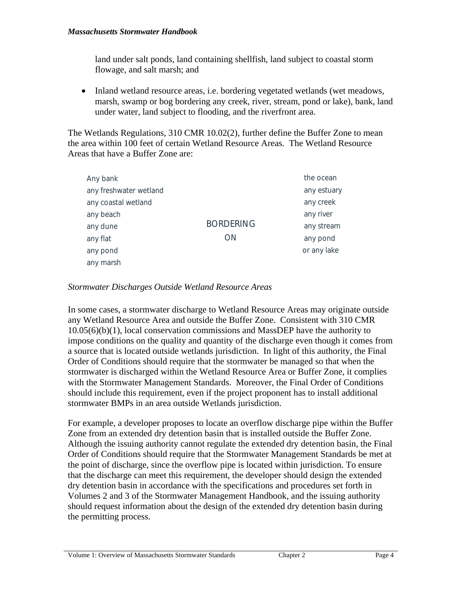land under salt ponds, land containing shellfish, land subject to coastal storm flowage, and salt marsh; and

• Inland wetland resource areas, i.e. bordering vegetated wetlands (wet meadows, marsh, swamp or bog bordering any creek, river, stream, pond or lake), bank, land under water, land subject to flooding, and the riverfront area.

The Wetlands Regulations, 310 CMR 10.02(2), further define the Buffer Zone to mean the area within 100 feet of certain Wetland Resource Areas. The Wetland Resource Areas that have a Buffer Zone are:

| Any bank               |                        | the ocean   |
|------------------------|------------------------|-------------|
| any freshwater wetland |                        | any estuary |
| any coastal wetland    | <b>BORDERING</b><br>ON | any creek   |
| any beach              |                        | any river   |
| any dune               |                        | any stream  |
| any flat               |                        | any pond    |
| any pond               |                        | or any lake |
| any marsh              |                        |             |

## *Stormwater Discharges Outside Wetland Resource Areas*

In some cases, a stormwater discharge to Wetland Resource Areas may originate outside any Wetland Resource Area and outside the Buffer Zone. Consistent with 310 CMR 10.05(6)(b)(1), local conservation commissions and MassDEP have the authority to impose conditions on the quality and quantity of the discharge even though it comes from a source that is located outside wetlands jurisdiction. In light of this authority, the Final Order of Conditions should require that the stormwater be managed so that when the stormwater is discharged within the Wetland Resource Area or Buffer Zone, it complies with the Stormwater Management Standards. Moreover, the Final Order of Conditions should include this requirement, even if the project proponent has to install additional stormwater BMPs in an area outside Wetlands jurisdiction.

For example, a developer proposes to locate an overflow discharge pipe within the Buffer Zone from an extended dry detention basin that is installed outside the Buffer Zone. Although the issuing authority cannot regulate the extended dry detention basin, the Final Order of Conditions should require that the Stormwater Management Standards be met at the point of discharge, since the overflow pipe is located within jurisdiction. To ensure that the discharge can meet this requirement, the developer should design the extended dry detention basin in accordance with the specifications and procedures set forth in Volumes 2 and 3 of the Stormwater Management Handbook, and the issuing authority should request information about the design of the extended dry detention basin during the permitting process.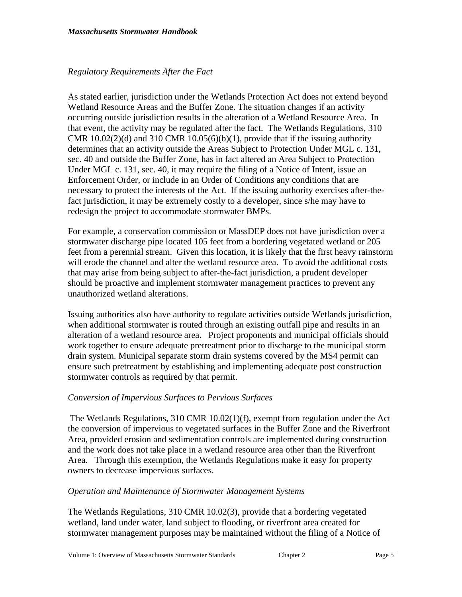### *Regulatory Requirements After the Fact*

As stated earlier, jurisdiction under the Wetlands Protection Act does not extend beyond Wetland Resource Areas and the Buffer Zone. The situation changes if an activity occurring outside jurisdiction results in the alteration of a Wetland Resource Area. In that event, the activity may be regulated after the fact. The Wetlands Regulations, 310 CMR  $10.02(2)(d)$  and  $310$  CMR  $10.05(6)(b)(1)$ , provide that if the issuing authority determines that an activity outside the Areas Subject to Protection Under MGL c. 131, sec. 40 and outside the Buffer Zone, has in fact altered an Area Subject to Protection Under MGL c. 131, sec. 40, it may require the filing of a Notice of Intent, issue an Enforcement Order, or include in an Order of Conditions any conditions that are necessary to protect the interests of the Act. If the issuing authority exercises after-thefact jurisdiction, it may be extremely costly to a developer, since s/he may have to redesign the project to accommodate stormwater BMPs.

For example, a conservation commission or MassDEP does not have jurisdiction over a stormwater discharge pipe located 105 feet from a bordering vegetated wetland or 205 feet from a perennial stream. Given this location, it is likely that the first heavy rainstorm will erode the channel and alter the wetland resource area. To avoid the additional costs that may arise from being subject to after-the-fact jurisdiction, a prudent developer should be proactive and implement stormwater management practices to prevent any unauthorized wetland alterations.

Issuing authorities also have authority to regulate activities outside Wetlands jurisdiction, when additional stormwater is routed through an existing outfall pipe and results in an alteration of a wetland resource area. Project proponents and municipal officials should work together to ensure adequate pretreatment prior to discharge to the municipal storm drain system. Municipal separate storm drain systems covered by the MS4 permit can ensure such pretreatment by establishing and implementing adequate post construction stormwater controls as required by that permit.

## *Conversion of Impervious Surfaces to Pervious Surfaces*

 The Wetlands Regulations, 310 CMR 10.02(1)(f), exempt from regulation under the Act the conversion of impervious to vegetated surfaces in the Buffer Zone and the Riverfront Area, provided erosion and sedimentation controls are implemented during construction and the work does not take place in a wetland resource area other than the Riverfront Area. Through this exemption, the Wetlands Regulations make it easy for property owners to decrease impervious surfaces.

## *Operation and Maintenance of Stormwater Management Systems*

The Wetlands Regulations, 310 CMR 10.02(3), provide that a bordering vegetated wetland, land under water, land subject to flooding, or riverfront area created for stormwater management purposes may be maintained without the filing of a Notice of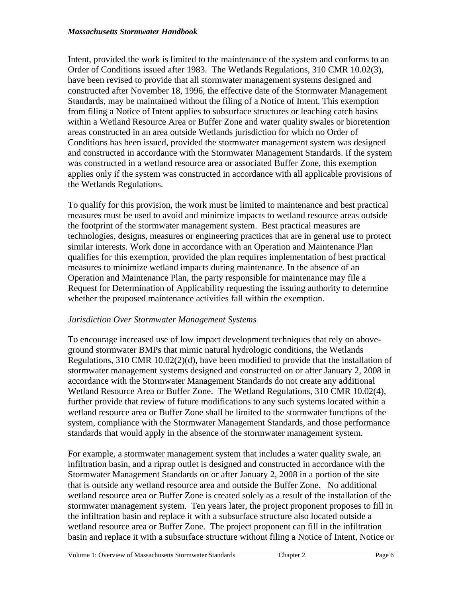Intent, provided the work is limited to the maintenance of the system and conforms to an Order of Conditions issued after 1983. The Wetlands Regulations, 310 CMR 10.02(3), have been revised to provide that all stormwater management systems designed and constructed after November 18, 1996, the effective date of the Stormwater Management Standards, may be maintained without the filing of a Notice of Intent. This exemption from filing a Notice of Intent applies to subsurface structures or leaching catch basins within a Wetland Resource Area or Buffer Zone and water quality swales or bioretention areas constructed in an area outside Wetlands jurisdiction for which no Order of Conditions has been issued, provided the stormwater management system was designed and constructed in accordance with the Stormwater Management Standards. If the system was constructed in a wetland resource area or associated Buffer Zone, this exemption applies only if the system was constructed in accordance with all applicable provisions of the Wetlands Regulations.

To qualify for this provision, the work must be limited to maintenance and best practical measures must be used to avoid and minimize impacts to wetland resource areas outside the footprint of the stormwater management system. Best practical measures are technologies, designs, measures or engineering practices that are in general use to protect similar interests. Work done in accordance with an Operation and Maintenance Plan qualifies for this exemption, provided the plan requires implementation of best practical measures to minimize wetland impacts during maintenance. In the absence of an Operation and Maintenance Plan, the party responsible for maintenance may file a Request for Determination of Applicability requesting the issuing authority to determine whether the proposed maintenance activities fall within the exemption.

## *Jurisdiction Over Stormwater Management Systems*

To encourage increased use of low impact development techniques that rely on aboveground stormwater BMPs that mimic natural hydrologic conditions, the Wetlands Regulations, 310 CMR 10.02(2)(d), have been modified to provide that the installation of stormwater management systems designed and constructed on or after January 2, 2008 in accordance with the Stormwater Management Standards do not create any additional Wetland Resource Area or Buffer Zone. The Wetland Regulations, 310 CMR 10.02(4), further provide that review of future modifications to any such systems located within a wetland resource area or Buffer Zone shall be limited to the stormwater functions of the system, compliance with the Stormwater Management Standards, and those performance standards that would apply in the absence of the stormwater management system.

For example, a stormwater management system that includes a water quality swale, an infiltration basin, and a riprap outlet is designed and constructed in accordance with the Stormwater Management Standards on or after January 2, 2008 in a portion of the site that is outside any wetland resource area and outside the Buffer Zone. No additional wetland resource area or Buffer Zone is created solely as a result of the installation of the stormwater management system. Ten years later, the project proponent proposes to fill in the infiltration basin and replace it with a subsurface structure also located outside a wetland resource area or Buffer Zone. The project proponent can fill in the infiltration basin and replace it with a subsurface structure without filing a Notice of Intent, Notice or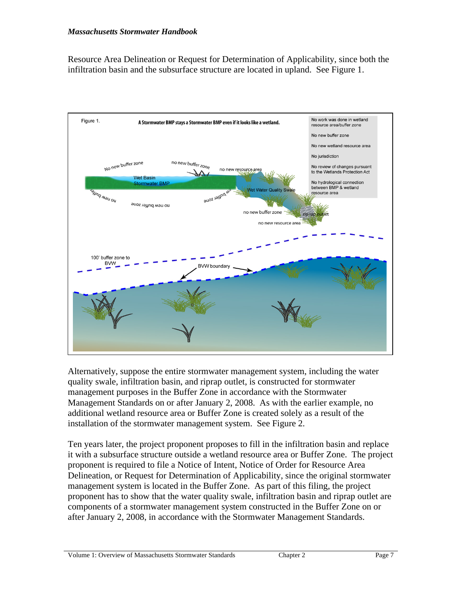Resource Area Delineation or Request for Determination of Applicability, since both the infiltration basin and the subsurface structure are located in upland. See Figure 1.



Alternatively, suppose the entire stormwater management system, including the water quality swale, infiltration basin, and riprap outlet, is constructed for stormwater management purposes in the Buffer Zone in accordance with the Stormwater Management Standards on or after January 2, 2008. As with the earlier example, no additional wetland resource area or Buffer Zone is created solely as a result of the installation of the stormwater management system. See Figure 2.

Ten years later, the project proponent proposes to fill in the infiltration basin and replace it with a subsurface structure outside a wetland resource area or Buffer Zone. The project proponent is required to file a Notice of Intent, Notice of Order for Resource Area Delineation, or Request for Determination of Applicability, since the original stormwater management system is located in the Buffer Zone. As part of this filing, the project proponent has to show that the water quality swale, infiltration basin and riprap outlet are components of a stormwater management system constructed in the Buffer Zone on or after January 2, 2008, in accordance with the Stormwater Management Standards.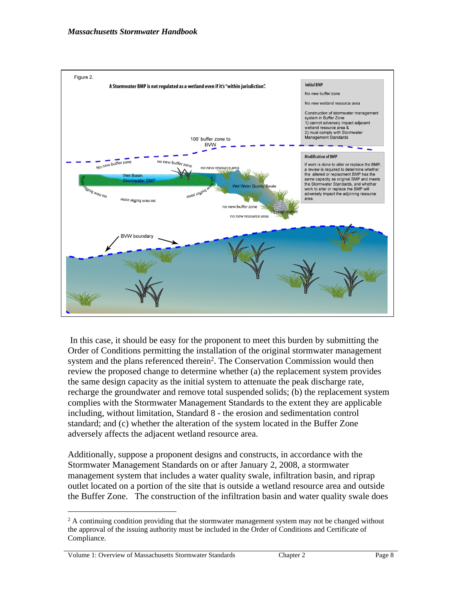

 In this case, it should be easy for the proponent to meet this burden by submitting the Order of Conditions permitting the installation of the original stormwater management system and the plans referenced therein<sup>2</sup>. The Conservation Commission would then review the proposed change to determine whether (a) the replacement system provides the same design capacity as the initial system to attenuate the peak discharge rate, recharge the groundwater and remove total suspended solids; (b) the replacement system complies with the Stormwater Management Standards to the extent they are applicable including, without limitation, Standard 8 - the erosion and sedimentation control standard; and (c) whether the alteration of the system located in the Buffer Zone adversely affects the adjacent wetland resource area.

Additionally, suppose a proponent designs and constructs, in accordance with the Stormwater Management Standards on or after January 2, 2008, a stormwater management system that includes a water quality swale, infiltration basin, and riprap outlet located on a portion of the site that is outside a wetland resource area and outside the Buffer Zone. The construction of the infiltration basin and water quality swale does

Volume 1: Overview of Massachusetts Stormwater Standards Chapter 2 Page 8

<sup>&</sup>lt;sup>2</sup> A continuing condition providing that the stormwater management system may not be changed without the approval of the issuing authority must be included in the Order of Conditions and Certificate of Compliance.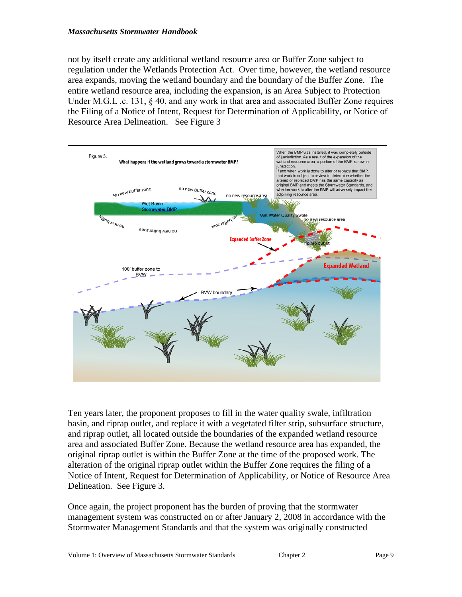not by itself create any additional wetland resource area or Buffer Zone subject to regulation under the Wetlands Protection Act. Over time, however, the wetland resource area expands, moving the wetland boundary and the boundary of the Buffer Zone. The entire wetland resource area, including the expansion, is an Area Subject to Protection Under M.G.L .c. 131, § 40, and any work in that area and associated Buffer Zone requires the Filing of a Notice of Intent, Request for Determination of Applicability, or Notice of Resource Area Delineation. See Figure 3



Ten years later, the proponent proposes to fill in the water quality swale, infiltration basin, and riprap outlet, and replace it with a vegetated filter strip, subsurface structure, and riprap outlet, all located outside the boundaries of the expanded wetland resource area and associated Buffer Zone. Because the wetland resource area has expanded, the original riprap outlet is within the Buffer Zone at the time of the proposed work. The alteration of the original riprap outlet within the Buffer Zone requires the filing of a Notice of Intent, Request for Determination of Applicability, or Notice of Resource Area Delineation. See Figure 3.

Once again, the project proponent has the burden of proving that the stormwater management system was constructed on or after January 2, 2008 in accordance with the Stormwater Management Standards and that the system was originally constructed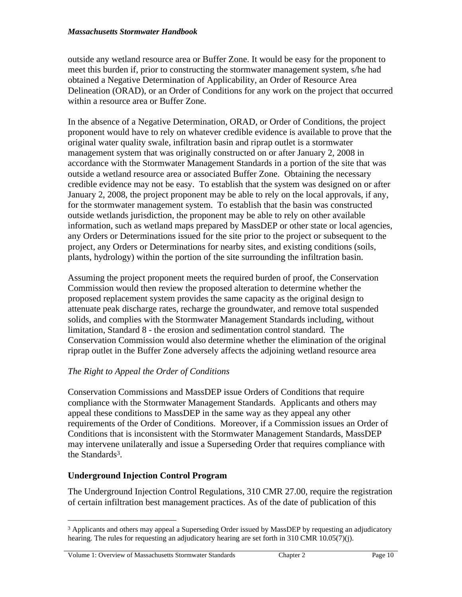outside any wetland resource area or Buffer Zone. It would be easy for the proponent to meet this burden if, prior to constructing the stormwater management system, s/he had obtained a Negative Determination of Applicability, an Order of Resource Area Delineation (ORAD), or an Order of Conditions for any work on the project that occurred within a resource area or Buffer Zone.

In the absence of a Negative Determination, ORAD, or Order of Conditions, the project proponent would have to rely on whatever credible evidence is available to prove that the original water quality swale, infiltration basin and riprap outlet is a stormwater management system that was originally constructed on or after January 2, 2008 in accordance with the Stormwater Management Standards in a portion of the site that was outside a wetland resource area or associated Buffer Zone. Obtaining the necessary credible evidence may not be easy. To establish that the system was designed on or after January 2, 2008, the project proponent may be able to rely on the local approvals, if any, for the stormwater management system. To establish that the basin was constructed outside wetlands jurisdiction, the proponent may be able to rely on other available information, such as wetland maps prepared by MassDEP or other state or local agencies, any Orders or Determinations issued for the site prior to the project or subsequent to the project, any Orders or Determinations for nearby sites, and existing conditions (soils, plants, hydrology) within the portion of the site surrounding the infiltration basin.

Assuming the project proponent meets the required burden of proof, the Conservation Commission would then review the proposed alteration to determine whether the proposed replacement system provides the same capacity as the original design to attenuate peak discharge rates, recharge the groundwater, and remove total suspended solids, and complies with the Stormwater Management Standards including, without limitation, Standard 8 - the erosion and sedimentation control standard. The Conservation Commission would also determine whether the elimination of the original riprap outlet in the Buffer Zone adversely affects the adjoining wetland resource area

# *The Right to Appeal the Order of Conditions*

Conservation Commissions and MassDEP issue Orders of Conditions that require compliance with the Stormwater Management Standards. Applicants and others may appeal these conditions to MassDEP in the same way as they appeal any other requirements of the Order of Conditions. Moreover, if a Commission issues an Order of Conditions that is inconsistent with the Stormwater Management Standards, MassDEP may intervene unilaterally and issue a Superseding Order that requires compliance with the Standards<sup>3</sup>.

## **Underground Injection Control Program**

The Underground Injection Control Regulations, 310 CMR 27.00, require the registration of certain infiltration best management practices. As of the date of publication of this

<sup>&</sup>lt;sup>3</sup> Applicants and others may appeal a Superseding Order issued by MassDEP by requesting an adjudicatory hearing. The rules for requesting an adjudicatory hearing are set forth in 310 CMR 10.05(7)(j).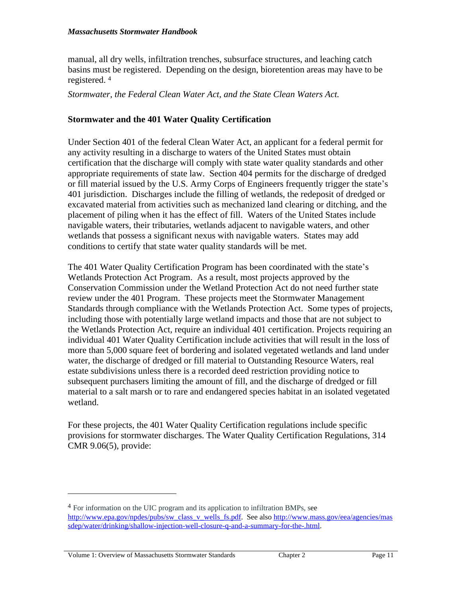manual, all dry wells, infiltration trenches, subsurface structures, and leaching catch basins must be registered. Depending on the design, bioretention areas may have to be registered. <sup>4</sup>

*Stormwater, the Federal Clean Water Act, and the State Clean Waters Act.*

### **Stormwater and the 401 Water Quality Certification**

Under Section 401 of the federal Clean Water Act, an applicant for a federal permit for any activity resulting in a discharge to waters of the United States must obtain certification that the discharge will comply with state water quality standards and other appropriate requirements of state law. Section 404 permits for the discharge of dredged or fill material issued by the U.S. Army Corps of Engineers frequently trigger the state's 401 jurisdiction. Discharges include the filling of wetlands, the redeposit of dredged or excavated material from activities such as mechanized land clearing or ditching, and the placement of piling when it has the effect of fill. Waters of the United States include navigable waters, their tributaries, wetlands adjacent to navigable waters, and other wetlands that possess a significant nexus with navigable waters. States may add conditions to certify that state water quality standards will be met.

The 401 Water Quality Certification Program has been coordinated with the state's Wetlands Protection Act Program. As a result, most projects approved by the Conservation Commission under the Wetland Protection Act do not need further state review under the 401 Program. These projects meet the Stormwater Management Standards through compliance with the Wetlands Protection Act. Some types of projects, including those with potentially large wetland impacts and those that are not subject to the Wetlands Protection Act, require an individual 401 certification. Projects requiring an individual 401 Water Quality Certification include activities that will result in the loss of more than 5,000 square feet of bordering and isolated vegetated wetlands and land under water, the discharge of dredged or fill material to Outstanding Resource Waters, real estate subdivisions unless there is a recorded deed restriction providing notice to subsequent purchasers limiting the amount of fill, and the discharge of dredged or fill material to a salt marsh or to rare and endangered species habitat in an isolated vegetated wetland.

For these projects, the 401 Water Quality Certification regulations include specific provisions for stormwater discharges. The Water Quality Certification Regulations, 314 CMR 9.06(5), provide:

<sup>&</sup>lt;sup>4</sup> For information on the UIC program and its application to infiltration BMPs, see [http://www.epa.gov/npdes/pubs/sw\\_class\\_v\\_wells\\_fs.pdf.](http://www.epa.gov/npdes/pubs/sw_class_v_wells_fs.pdf) See also [http://www.mass.gov/eea/agencies/mas](http://www.mass.gov/eea/agencies/massdep/water/drinking/shallow-injection-well-closure-q-and-a-summary-for-the-.html) sdep/water/drinking/shallow-injection-well-closure-q-and-a-summary-for-the-.html.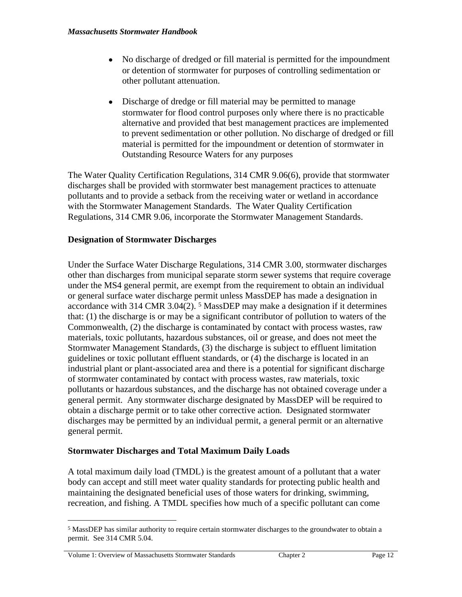- No discharge of dredged or fill material is permitted for the impoundment or detention of stormwater for purposes of controlling sedimentation or other pollutant attenuation.
- Discharge of dredge or fill material may be permitted to manage stormwater for flood control purposes only where there is no practicable alternative and provided that best management practices are implemented to prevent sedimentation or other pollution. No discharge of dredged or fill material is permitted for the impoundment or detention of stormwater in Outstanding Resource Waters for any purposes

The Water Quality Certification Regulations, 314 CMR 9.06(6), provide that stormwater discharges shall be provided with stormwater best management practices to attenuate pollutants and to provide a setback from the receiving water or wetland in accordance with the Stormwater Management Standards. The Water Quality Certification Regulations, 314 CMR 9.06, incorporate the Stormwater Management Standards.

## **Designation of Stormwater Discharges**

Under the Surface Water Discharge Regulations, 314 CMR 3.00, stormwater discharges other than discharges from municipal separate storm sewer systems that require coverage under the MS4 general permit, are exempt from the requirement to obtain an individual or general surface water discharge permit unless MassDEP has made a designation in accordance with 314 CMR 3.04(2). <sup>5</sup> MassDEP may make a designation if it determines that: (1) the discharge is or may be a significant contributor of pollution to waters of the Commonwealth, (2) the discharge is contaminated by contact with process wastes, raw materials, toxic pollutants, hazardous substances, oil or grease, and does not meet the Stormwater Management Standards, (3) the discharge is subject to effluent limitation guidelines or toxic pollutant effluent standards, or (4) the discharge is located in an industrial plant or plant-associated area and there is a potential for significant discharge of stormwater contaminated by contact with process wastes, raw materials, toxic pollutants or hazardous substances, and the discharge has not obtained coverage under a general permit. Any stormwater discharge designated by MassDEP will be required to obtain a discharge permit or to take other corrective action. Designated stormwater discharges may be permitted by an individual permit, a general permit or an alternative general permit.

## **Stormwater Discharges and Total Maximum Daily Loads**

A total maximum daily load (TMDL) is the greatest amount of a pollutant that a water body can accept and still meet water quality standards for protecting public health and maintaining the designated beneficial uses of those waters for drinking, swimming, recreation, and fishing. A TMDL specifies how much of a specific pollutant can come

<sup>&</sup>lt;sup>5</sup> MassDEP has similar authority to require certain stormwater discharges to the groundwater to obtain a permit. See 314 CMR 5.04.

Volume 1: Overview of Massachusetts Stormwater Standards Chapter 2 Chapter 2 Page 12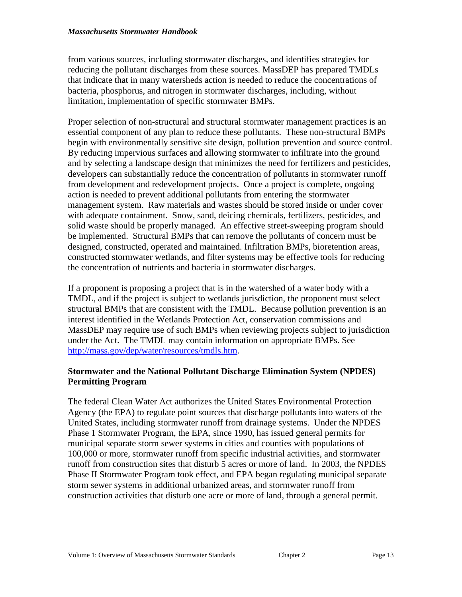from various sources, including stormwater discharges, and identifies strategies for reducing the pollutant discharges from these sources. MassDEP has prepared TMDLs that indicate that in many watersheds action is needed to reduce the concentrations of bacteria, phosphorus, and nitrogen in stormwater discharges, including, without limitation, implementation of specific stormwater BMPs.

Proper selection of non-structural and structural stormwater management practices is an essential component of any plan to reduce these pollutants. These non-structural BMPs begin with environmentally sensitive site design, pollution prevention and source control. By reducing impervious surfaces and allowing stormwater to infiltrate into the ground and by selecting a landscape design that minimizes the need for fertilizers and pesticides, developers can substantially reduce the concentration of pollutants in stormwater runoff from development and redevelopment projects. Once a project is complete, ongoing action is needed to prevent additional pollutants from entering the stormwater management system. Raw materials and wastes should be stored inside or under cover with adequate containment. Snow, sand, deicing chemicals, fertilizers, pesticides, and solid waste should be properly managed. An effective street-sweeping program should be implemented. Structural BMPs that can remove the pollutants of concern must be designed, constructed, operated and maintained. Infiltration BMPs, bioretention areas, constructed stormwater wetlands, and filter systems may be effective tools for reducing the concentration of nutrients and bacteria in stormwater discharges.

If a proponent is proposing a project that is in the watershed of a water body with a TMDL, and if the project is subject to wetlands jurisdiction, the proponent must select structural BMPs that are consistent with the TMDL. Because pollution prevention is an interest identified in the Wetlands Protection Act, conservation commissions and MassDEP may require use of such BMPs when reviewing projects subject to jurisdiction under the Act. The TMDL may contain information on appropriate BMPs. See [http://mass.gov/dep/water/resources/tmdls.htm.](http://mass.gov/dep/water/resources/tmdls.htm)

## **Stormwater and the National Pollutant Discharge Elimination System (NPDES) Permitting Program**

The federal Clean Water Act authorizes the United States Environmental Protection Agency (the EPA) to regulate point sources that discharge pollutants into waters of the United States, including stormwater runoff from drainage systems. Under the NPDES Phase 1 Stormwater Program, the EPA, since 1990, has issued general permits for municipal separate storm sewer systems in cities and counties with populations of 100,000 or more, stormwater runoff from specific industrial activities, and stormwater runoff from construction sites that disturb 5 acres or more of land. In 2003, the NPDES Phase II Stormwater Program took effect, and EPA began regulating municipal separate storm sewer systems in additional urbanized areas, and stormwater runoff from construction activities that disturb one acre or more of land, through a general permit.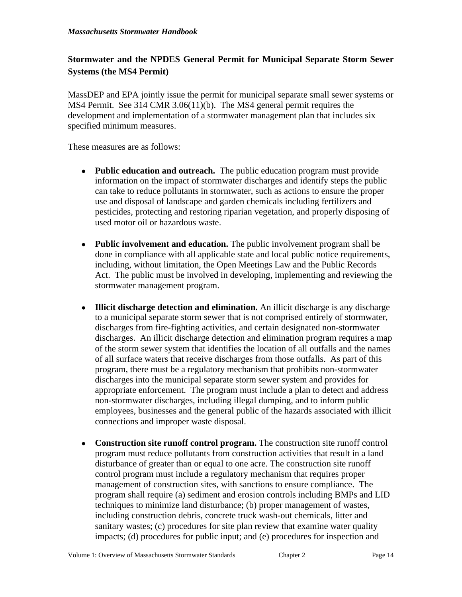## **Stormwater and the NPDES General Permit for Municipal Separate Storm Sewer Systems (the MS4 Permit)**

MassDEP and EPA jointly issue the permit for municipal separate small sewer systems or MS4 Permit. See 314 CMR 3.06(11)(b). The MS4 general permit requires the development and implementation of a stormwater management plan that includes six specified minimum measures.

These measures are as follows:

- **Public education and outreach.** The public education program must provide information on the impact of stormwater discharges and identify steps the public can take to reduce pollutants in stormwater, such as actions to ensure the proper use and disposal of landscape and garden chemicals including fertilizers and pesticides, protecting and restoring riparian vegetation, and properly disposing of used motor oil or hazardous waste.
- **Public involvement and education.** The public involvement program shall be done in compliance with all applicable state and local public notice requirements, including, without limitation, the Open Meetings Law and the Public Records Act. The public must be involved in developing, implementing and reviewing the stormwater management program.
- **Illicit discharge detection and elimination.** An illicit discharge is any discharge to a municipal separate storm sewer that is not comprised entirely of stormwater, discharges from fire-fighting activities, and certain designated non-stormwater discharges. An illicit discharge detection and elimination program requires a map of the storm sewer system that identifies the location of all outfalls and the names of all surface waters that receive discharges from those outfalls. As part of this program, there must be a regulatory mechanism that prohibits non-stormwater discharges into the municipal separate storm sewer system and provides for appropriate enforcement. The program must include a plan to detect and address non-stormwater discharges, including illegal dumping, and to inform public employees, businesses and the general public of the hazards associated with illicit connections and improper waste disposal.
- **Construction site runoff control program.** The construction site runoff control program must reduce pollutants from construction activities that result in a land disturbance of greater than or equal to one acre. The construction site runoff control program must include a regulatory mechanism that requires proper management of construction sites, with sanctions to ensure compliance. The program shall require (a) sediment and erosion controls including BMPs and LID techniques to minimize land disturbance; (b) proper management of wastes, including construction debris, concrete truck wash-out chemicals, litter and sanitary wastes; (c) procedures for site plan review that examine water quality impacts; (d) procedures for public input; and (e) procedures for inspection and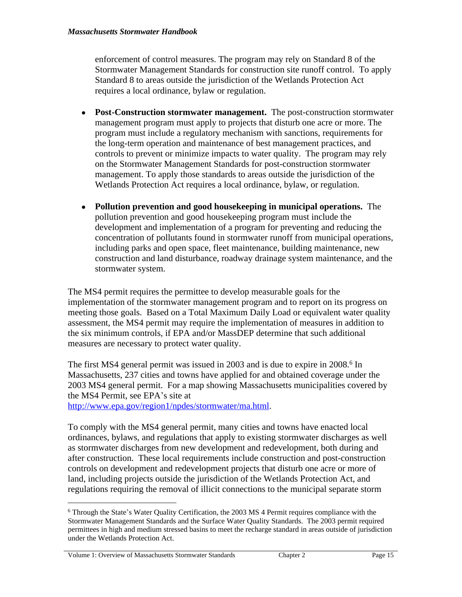enforcement of control measures. The program may rely on Standard 8 of the Stormwater Management Standards for construction site runoff control. To apply Standard 8 to areas outside the jurisdiction of the Wetlands Protection Act requires a local ordinance, bylaw or regulation.

- **Post-Construction stormwater management.** The post-construction stormwater management program must apply to projects that disturb one acre or more. The program must include a regulatory mechanism with sanctions, requirements for the long-term operation and maintenance of best management practices, and controls to prevent or minimize impacts to water quality. The program may rely on the Stormwater Management Standards for post-construction stormwater management. To apply those standards to areas outside the jurisdiction of the Wetlands Protection Act requires a local ordinance, bylaw, or regulation.
- **Pollution prevention and good housekeeping in municipal operations.** The pollution prevention and good housekeeping program must include the development and implementation of a program for preventing and reducing the concentration of pollutants found in stormwater runoff from municipal operations, including parks and open space, fleet maintenance, building maintenance, new construction and land disturbance, roadway drainage system maintenance, and the stormwater system.

The MS4 permit requires the permittee to develop measurable goals for the implementation of the stormwater management program and to report on its progress on meeting those goals. Based on a Total Maximum Daily Load or equivalent water quality assessment, the MS4 permit may require the implementation of measures in addition to the six minimum controls, if EPA and/or MassDEP determine that such additional measures are necessary to protect water quality.

The first MS4 general permit was issued in 2003 and is due to expire in 2008.<sup>6</sup> In Massachusetts, 237 cities and towns have applied for and obtained coverage under the 2003 MS4 general permit. For a map showing Massachusetts municipalities covered by the MS4 Permit, see EPA's site at

[http://www.epa.gov/region1/npdes/stormwater/ma.html.](http://www.epa.gov/region1/npdes/stormwater/ma.html)

To comply with the MS4 general permit, many cities and towns have enacted local ordinances, bylaws, and regulations that apply to existing stormwater discharges as well as stormwater discharges from new development and redevelopment, both during and after construction. These local requirements include construction and post-construction controls on development and redevelopment projects that disturb one acre or more of land, including projects outside the jurisdiction of the Wetlands Protection Act, and regulations requiring the removal of illicit connections to the municipal separate storm

<sup>6</sup> Through the State's Water Quality Certification, the 2003 MS 4 Permit requires compliance with the Stormwater Management Standards and the Surface Water Quality Standards. The 2003 permit required permittees in high and medium stressed basins to meet the recharge standard in areas outside of jurisdiction under the Wetlands Protection Act.

Volume 1: Overview of Massachusetts Stormwater Standards Chapter 2 Page 15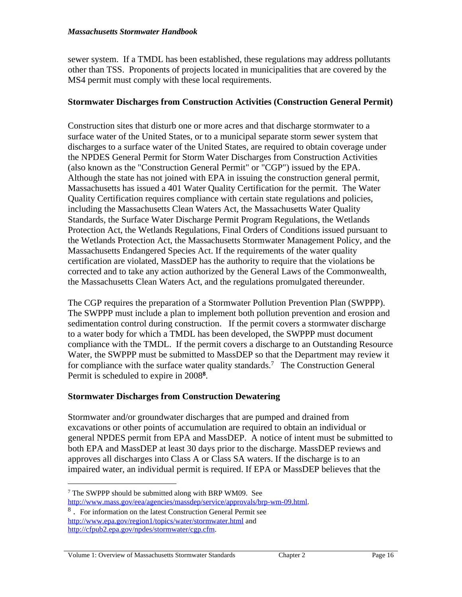sewer system. If a TMDL has been established, these regulations may address pollutants other than TSS. Proponents of projects located in municipalities that are covered by the MS4 permit must comply with these local requirements.

### **Stormwater Discharges from Construction Activities (Construction General Permit)**

Construction sites that disturb one or more acres and that discharge stormwater to a surface water of the United States, or to a municipal separate storm sewer system that discharges to a surface water of the United States, are required to obtain coverage under the NPDES General Permit for Storm Water Discharges from Construction Activities (also known as the "Construction General Permit" or "CGP") issued by the EPA. Although the state has not joined with EPA in issuing the construction general permit, Massachusetts has issued a 401 Water Quality Certification for the permit. The Water Quality Certification requires compliance with certain state regulations and policies, including the Massachusetts Clean Waters Act, the Massachusetts Water Quality Standards, the Surface Water Discharge Permit Program Regulations, the Wetlands Protection Act, the Wetlands Regulations, Final Orders of Conditions issued pursuant to the Wetlands Protection Act, the Massachusetts Stormwater Management Policy, and the Massachusetts Endangered Species Act. If the requirements of the water quality certification are violated, MassDEP has the authority to require that the violations be corrected and to take any action authorized by the General Laws of the Commonwealth, the Massachusetts Clean Waters Act, and the regulations promulgated thereunder.

The CGP requires the preparation of a Stormwater Pollution Prevention Plan (SWPPP). The SWPPP must include a plan to implement both pollution prevention and erosion and sedimentation control during construction. If the permit covers a stormwater discharge to a water body for which a TMDL has been developed, the SWPPP must document compliance with the TMDL. If the permit covers a discharge to an Outstanding Resource Water, the SWPPP must be submitted to MassDEP so that the Department may review it for compliance with the surface water quality standards.<sup>7</sup> The Construction General Permit is scheduled to expire in 2008**<sup>8</sup>** .

## **Stormwater Discharges from Construction Dewatering**

Stormwater and/or groundwater discharges that are pumped and drained from excavations or other points of accumulation are required to obtain an individual or general NPDES permit from EPA and MassDEP. A notice of intent must be submitted to both EPA and MassDEP at least 30 days prior to the discharge. MassDEP reviews and approves all discharges into Class A or Class SA waters. If the discharge is to an impaired water, an individual permit is required. If EPA or MassDEP believes that the

#### Volume 1: Overview of Massachusetts Stormwater Standards Chapter 2 Page 16

<sup>7</sup> The SWPPP should be submitted along with BRP WM09. See <http://www.mass.gov/eea/agencies/massdep/service/approvals/brp-wm-09.html>.

<sup>8</sup> . For information on the latest Construction General Permit see <http://www.epa.gov/region1/topics/water/stormwater.html> and [http://cfpub2.epa.gov/npdes/stormwater/cgp.cfm.](http://cfpub2.epa.gov/npdes/stormwater/cgp.cfm)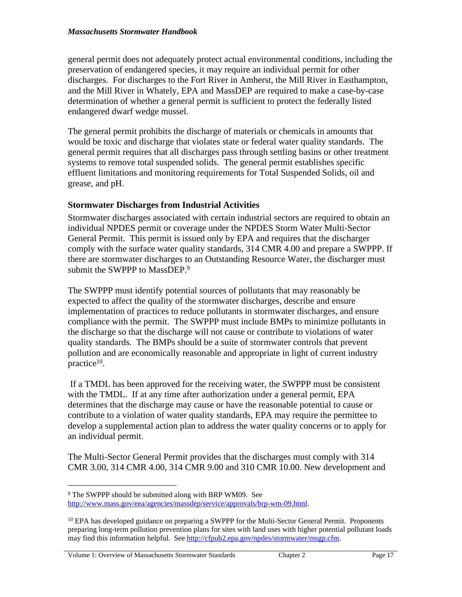general permit does not adequately protect actual environmental conditions, including the preservation of endangered species, it may require an individual permit for other discharges. For discharges to the Fort River in Amherst, the Mill River in Easthampton, and the Mill River in Whately, EPA and MassDEP are required to make a case-by-case determination of whether a general permit is sufficient to protect the federally listed endangered dwarf wedge mussel.

The general permit prohibits the discharge of materials or chemicals in amounts that would be toxic and discharge that violates state or federal water quality standards. The general permit requires that all discharges pass through settling basins or other treatment systems to remove total suspended solids. The general permit establishes specific effluent limitations and monitoring requirements for Total Suspended Solids, oil and grease, and pH.

## **Stormwater Discharges from Industrial Activities**

Stormwater discharges associated with certain industrial sectors are required to obtain an individual NPDES permit or coverage under the NPDES Storm Water Multi-Sector General Permit. This permit is issued only by EPA and requires that the discharger comply with the surface water quality standards, 314 CMR 4.00 and prepare a SWPPP. If there are stormwater discharges to an Outstanding Resource Water, the discharger must submit the SWPPP to MassDEP.<sup>9</sup>

The SWPPP must identify potential sources of pollutants that may reasonably be expected to affect the quality of the stormwater discharges, describe and ensure implementation of practices to reduce pollutants in stormwater discharges, and ensure compliance with the permit. The SWPPP must include BMPs to minimize pollutants in the discharge so that the discharge will not cause or contribute to violations of water quality standards. The BMPs should be a suite of stormwater controls that prevent pollution and are economically reasonable and appropriate in light of current industry practice<sup>10</sup>.

 If a TMDL has been approved for the receiving water, the SWPPP must be consistent with the TMDL. If at any time after authorization under a general permit, EPA determines that the discharge may cause or have the reasonable potential to cause or contribute to a violation of water quality standards, EPA may require the permittee to develop a supplemental action plan to address the water quality concerns or to apply for an individual permit.

The Multi-Sector General Permit provides that the discharges must comply with 314 CMR 3.00, 314 CMR 4.00, 314 CMR 9.00 and 310 CMR 10.00. New development and

Volume 1: Overview of Massachusetts Stormwater Standards Chapter 2 Chapter 2 Page 17

<sup>9</sup> The SWPPP should be submitted along with BRP WM09. See <http://www.mass.gov/eea/agencies/massdep/service/approvals/brp-wm-09.html>.

<sup>&</sup>lt;sup>10</sup> EPA has developed guidance on preparing a SWPPP for the Multi-Sector General Permit. Proponents preparing long-term pollution prevention plans for sites with land uses with higher potential pollutant loads may find this information helpful. See [http://cfpub2.epa.gov/npdes/stormwater/msgp.cfm.](http://cfpub2.epa.gov/npdes/stormwater/msgp.cfm)